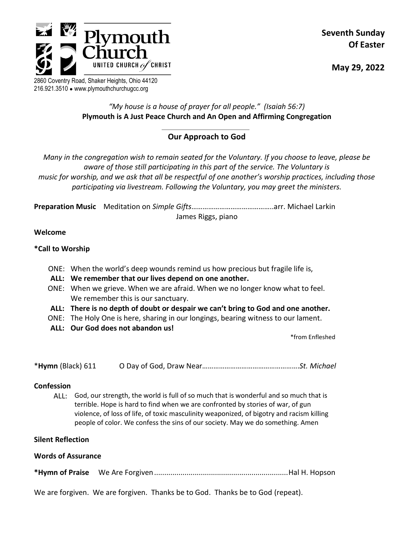

**Seventh Sunday Of Easter**

**May 29, 2022**

2860 Coventry Road, Shaker Heights, Ohio 44120 216.921.3510 ● www.plymouthchurchugcc.org

# *"My house is a house of prayer for all people." (Isaiah 56:7)* **Plymouth is A Just Peace Church and An Open and Affirming Congregation**

# **Our Approach to God**

*Many in the congregation wish to remain seated for the Voluntary. If you choose to leave, please be aware of those still participating in this part of the service. The Voluntary is music for worship, and we ask that all be respectful of one another's worship practices, including those participating via livestream. Following the Voluntary, you may greet the ministers.*

**Preparation Music** Meditation on *Simple Gifts*……………………………………..arr. Michael Larkin James Riggs, piano

# **Welcome**

# **\*Call to Worship**

- ONE: When the world's deep wounds remind us how precious but fragile life is,
- **ALL: We remember that our lives depend on one another.**
- ONE: When we grieve. When we are afraid. When we no longer know what to feel. We remember this is our sanctuary.
- **ALL: There is no depth of doubt or despair we can't bring to God and one another.**
- ONE: The Holy One is here, sharing in our longings, bearing witness to our lament.
- **ALL: Our God does not abandon us!**

\*from Enfleshed

\***Hymn** (Black) 611 O Day of God, Draw Near…………………………………………….*St. Michael*

#### **Confession**

ALL: God, our strength, the world is full of so much that is wonderful and so much that is terrible. Hope is hard to find when we are confronted by stories of war, of gun violence, of loss of life, of toxic masculinity weaponized, of bigotry and racism killing people of color. We confess the sins of our society. May we do something. Amen

#### **Silent Reflection**

#### **Words of Assurance**

**\*Hymn of Praise** We Are Forgiven..................................................................Hal H. Hopson

We are forgiven. We are forgiven. Thanks be to God. Thanks be to God (repeat).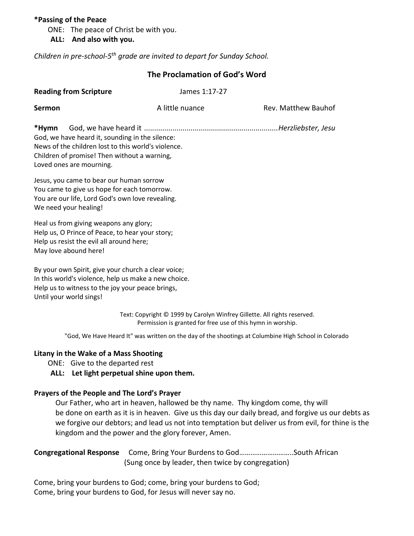#### **\*Passing of the Peace**

ONE: The peace of Christ be with you.

#### **ALL: And also with you.**

*Children in pre-school-5 th grade are invited to depart for Sunday School.*

| The Proclamation of God's Word<br><b>Reading from Scripture</b><br>James 1:17-27                                                                                                            |                                                                                                                                         |                                                                                                      |
|---------------------------------------------------------------------------------------------------------------------------------------------------------------------------------------------|-----------------------------------------------------------------------------------------------------------------------------------------|------------------------------------------------------------------------------------------------------|
|                                                                                                                                                                                             |                                                                                                                                         |                                                                                                      |
| *Hymn<br>God, we have heard it, sounding in the silence:<br>News of the children lost to this world's violence.<br>Children of promise! Then without a warning,<br>Loved ones are mourning. |                                                                                                                                         |                                                                                                      |
| Jesus, you came to bear our human sorrow<br>You came to give us hope for each tomorrow.<br>You are our life, Lord God's own love revealing.<br>We need your healing!                        |                                                                                                                                         |                                                                                                      |
| Heal us from giving weapons any glory;<br>Help us, O Prince of Peace, to hear your story;<br>Help us resist the evil all around here;<br>May love abound here!                              |                                                                                                                                         |                                                                                                      |
| By your own Spirit, give your church a clear voice;<br>In this world's violence, help us make a new choice.<br>Help us to witness to the joy your peace brings,<br>Until your world sings!  |                                                                                                                                         |                                                                                                      |
|                                                                                                                                                                                             | Text: Copyright © 1999 by Carolyn Winfrey Gillette. All rights reserved.<br>Permission is granted for free use of this hymn in worship. |                                                                                                      |
|                                                                                                                                                                                             |                                                                                                                                         | "God, We Have Heard It" was written on the day of the shootings at Columbine High School in Colorado |
| Litany in the Wake of a Mass Shooting<br>ONE: Give to the departed rest                                                                                                                     |                                                                                                                                         |                                                                                                      |

**ALL: Let light perpetual shine upon them.**

#### **Prayers of the People and The Lord's Prayer**

Our Father, who art in heaven, hallowed be thy name. Thy kingdom come, thy will be done on earth as it is in heaven. Give us this day our daily bread, and forgive us our debts as we forgive our debtors; and lead us not into temptation but deliver us from evil, for thine is the kingdom and the power and the glory forever, Amen.

**Congregational Response** Come, Bring Your Burdens to God………………………..South African (Sung once by leader, then twice by congregation)

Come, bring your burdens to God; come, bring your burdens to God; Come, bring your burdens to God, for Jesus will never say no.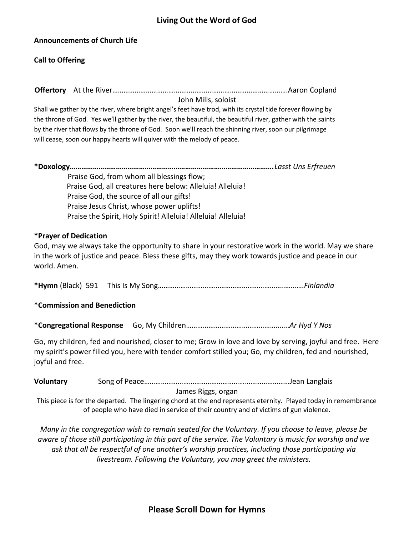### **Announcements of Church Life**

### **Call to Offering**

**Offertory** At the River………………………………………………………………………………….Aaron Copland

John Mills, soloist

Shall we gather by the river, where bright angel's feet have trod, with its crystal tide forever flowing by the throne of God. Yes we'll gather by the river, the beautiful, the beautiful river, gather with the saints by the river that flows by the throne of God. Soon we'll reach the shinning river, soon our pilgrimage will cease, soon our happy hearts will quiver with the melody of peace.

**\*Doxology…………………………………………………………………………………………….***Lasst Uns Erfreuen* Praise God, from whom all blessings flow; Praise God, all creatures here below: Alleluia! Alleluia! Praise God, the source of all our gifts! Praise Jesus Christ, whose power uplifts! Praise the Spirit, Holy Spirit! Alleluia! Alleluia! Alleluia!

#### **\*Prayer of Dedication**

God, may we always take the opportunity to share in your restorative work in the world. May we share in the work of justice and peace. Bless these gifts, may they work towards justice and peace in our world. Amen.

**\*Hymn** (Black) 591 This Is My Song…………………………………………………………..……….*Finlandia* 

# **\*Commission and Benediction**

**\*Congregational Response** Go, My Children…………………………………………..…..*Ar Hyd Y Nos*

Go, my children, fed and nourished, closer to me; Grow in love and love by serving, joyful and free. Here my spirit's power filled you, here with tender comfort stilled you; Go, my children, fed and nourished, joyful and free.

| Voluntary |  |
|-----------|--|
|-----------|--|

James Riggs, organ

This piece is for the departed. The lingering chord at the end represents eternity. Played today in remembrance of people who have died in service of their country and of victims of gun violence.

*Many in the congregation wish to remain seated for the Voluntary. If you choose to leave, please be aware of those still participating in this part of the service. The Voluntary is music for worship and we ask that all be respectful of one another's worship practices, including those participating via livestream. Following the Voluntary, you may greet the ministers.*

# **Please Scroll Down for Hymns**